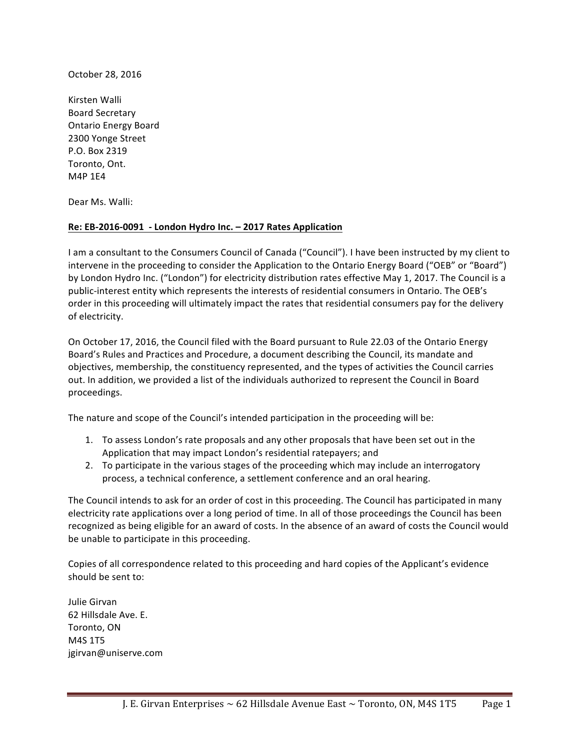October 28, 2016

Kirsten Walli Board Secretary Ontario Energy Board 2300 Yonge Street P.O. Box 2319 Toronto, Ont. M4P 1E4

Dear Ms. Walli:

## Re: EB-2016-0091 - London Hydro Inc. - 2017 Rates Application

I am a consultant to the Consumers Council of Canada ("Council"). I have been instructed by my client to intervene in the proceeding to consider the Application to the Ontario Energy Board ("OEB" or "Board") by London Hydro Inc. ("London") for electricity distribution rates effective May 1, 2017. The Council is a public-interest entity which represents the interests of residential consumers in Ontario. The OEB's order in this proceeding will ultimately impact the rates that residential consumers pay for the delivery of electricity.

On October 17, 2016, the Council filed with the Board pursuant to Rule 22.03 of the Ontario Energy Board's Rules and Practices and Procedure, a document describing the Council, its mandate and objectives, membership, the constituency represented, and the types of activities the Council carries out. In addition, we provided a list of the individuals authorized to represent the Council in Board proceedings. 

The nature and scope of the Council's intended participation in the proceeding will be:

- 1. To assess London's rate proposals and any other proposals that have been set out in the Application that may impact London's residential ratepayers; and
- 2. To participate in the various stages of the proceeding which may include an interrogatory process, a technical conference, a settlement conference and an oral hearing.

The Council intends to ask for an order of cost in this proceeding. The Council has participated in many electricity rate applications over a long period of time. In all of those proceedings the Council has been recognized as being eligible for an award of costs. In the absence of an award of costs the Council would be unable to participate in this proceeding.

Copies of all correspondence related to this proceeding and hard copies of the Applicant's evidence should be sent to:

Julie Girvan 62 Hillsdale Ave. E. Toronto, ON M4S 1T5 jgirvan@uniserve.com